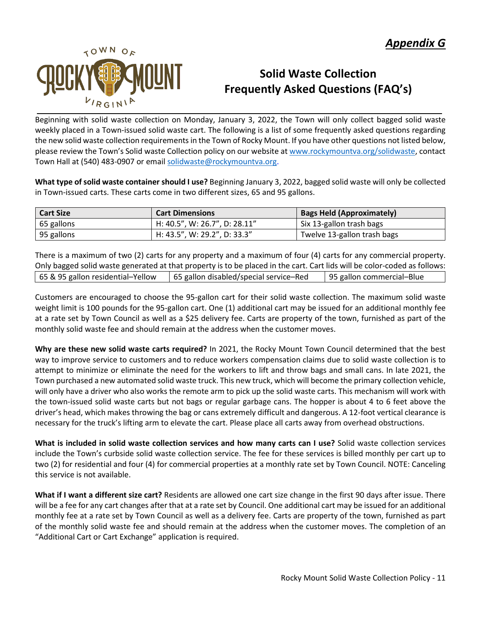

## **Solid Waste Collection Frequently Asked Questions (FAQ's)**

Beginning with solid waste collection on Monday, January 3, 2022, the Town will only collect bagged solid waste weekly placed in a Town-issued solid waste cart. The following is a list of some frequently asked questions regarding the new solid waste collection requirements in the Town of Rocky Mount. If you have other questions not listed below, please review the Town's Solid waste Collection policy on our website a[t www.rockymountva.org/solidwaste,](http://www.rockymountva.org/solidwaste) contact Town Hall at (540) 483-0907 or email [solidwaste@rockymountva.org.](mailto:solidwaste@rockymountva.org)

**What type of solid waste container should I use?** Beginning January 3, 2022, bagged solid waste will only be collected in Town-issued carts. These carts come in two different sizes, 65 and 95 gallons.

| <b>Cart Size</b> | <b>Cart Dimensions</b>        | <b>Bags Held (Approximately)</b> |
|------------------|-------------------------------|----------------------------------|
| 65 gallons       | H: 40.5", W: 26.7", D: 28.11" | Six 13-gallon trash bags         |
| 95 gallons       | H: 43.5", W: 29.2", D: 33.3"  | Twelve 13-gallon trash bags      |

There is a maximum of two (2) carts for any property and a maximum of four (4) carts for any commercial property. Only bagged solid waste generated at that property is to be placed in the cart. Cart lids will be color-coded as follows: 65 & 95 gallon residential–Yellow 65 gallon disabled/special service–Red 95 gallon commercial–Blue

Customers are encouraged to choose the 95-gallon cart for their solid waste collection. The maximum solid waste weight limit is 100 pounds for the 95-gallon cart. One (1) additional cart may be issued for an additional monthly fee at a rate set by Town Council as well as a \$25 delivery fee. Carts are property of the town, furnished as part of the monthly solid waste fee and should remain at the address when the customer moves.

**Why are these new solid waste carts required?** In 2021, the Rocky Mount Town Council determined that the best way to improve service to customers and to reduce workers compensation claims due to solid waste collection is to attempt to minimize or eliminate the need for the workers to lift and throw bags and small cans. In late 2021, the Town purchased a new automated solid waste truck. This new truck, which will become the primary collection vehicle, will only have a driver who also works the remote arm to pick up the solid waste carts. This mechanism will work with the town-issued solid waste carts but not bags or regular garbage cans. The hopper is about 4 to 6 feet above the driver's head, which makes throwing the bag or cans extremely difficult and dangerous. A 12-foot vertical clearance is necessary for the truck's lifting arm to elevate the cart. Please place all carts away from overhead obstructions.

**What is included in solid waste collection services and how many carts can I use?** Solid waste collection services include the Town's curbside solid waste collection service. The fee for these services is billed monthly per cart up to two (2) for residential and four (4) for commercial properties at a monthly rate set by Town Council. NOTE: Canceling this service is not available.

**What if I want a different size cart?** Residents are allowed one cart size change in the first 90 days after issue. There will be a fee for any cart changes after that at a rate set by Council. One additional cart may be issued for an additional monthly fee at a rate set by Town Council as well as a delivery fee. Carts are property of the town, furnished as part of the monthly solid waste fee and should remain at the address when the customer moves. The completion of an "Additional Cart or Cart Exchange" application is required.